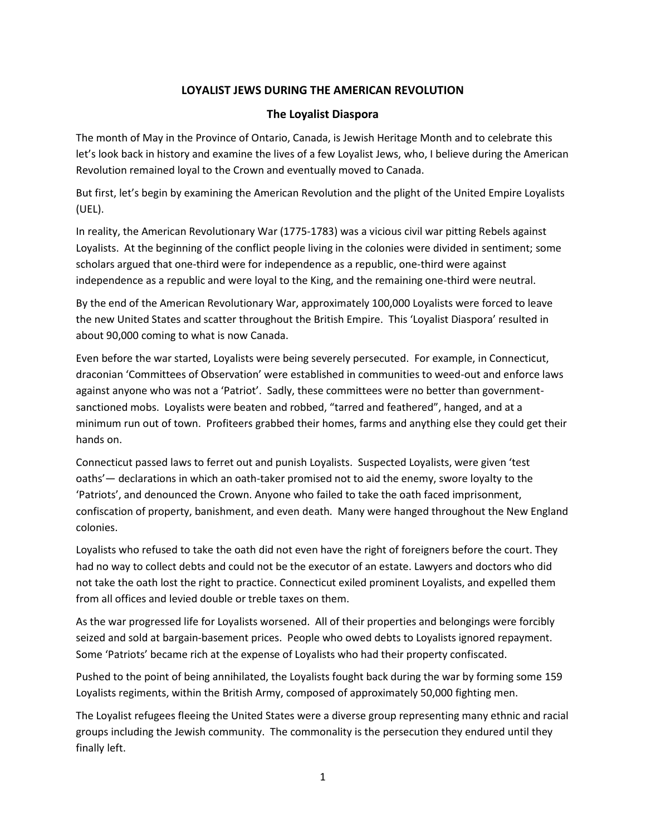## **LOYALIST JEWS DURING THE AMERICAN REVOLUTION**

## **The Loyalist Diaspora**

The month of May in the Province of Ontario, Canada, is Jewish Heritage Month and to celebrate this let's look back in history and examine the lives of a few Loyalist Jews, who, I believe during the American Revolution remained loyal to the Crown and eventually moved to Canada.

But first, let's begin by examining the American Revolution and the plight of the United Empire Loyalists (UEL).

In reality, the American Revolutionary War (1775-1783) was a vicious civil war pitting Rebels against Loyalists. At the beginning of the conflict people living in the colonies were divided in sentiment; some scholars argued that one-third were for independence as a republic, one-third were against independence as a republic and were loyal to the King, and the remaining one-third were neutral.

By the end of the American Revolutionary War, approximately 100,000 Loyalists were forced to leave the new United States and scatter throughout the British Empire. This 'Loyalist Diaspora' resulted in about 90,000 coming to what is now Canada.

Even before the war started, Loyalists were being severely persecuted. For example, in Connecticut, draconian 'Committees of Observation' were established in communities to weed-out and enforce laws against anyone who was not a 'Patriot'. Sadly, these committees were no better than governmentsanctioned mobs. Loyalists were beaten and robbed, "tarred and feathered", hanged, and at a minimum run out of town. Profiteers grabbed their homes, farms and anything else they could get their hands on.

Connecticut passed laws to ferret out and punish Loyalists. Suspected Loyalists, were given 'test oaths'— declarations in which an oath-taker promised not to aid the enemy, swore loyalty to the 'Patriots', and denounced the Crown. Anyone who failed to take the oath faced imprisonment, confiscation of property, banishment, and even death. Many were hanged throughout the New England colonies.

Loyalists who refused to take the oath did not even have the right of foreigners before the court. They had no way to collect debts and could not be the executor of an estate. Lawyers and doctors who did not take the oath lost the right to practice. Connecticut exiled prominent Loyalists, and expelled them from all offices and levied double or treble taxes on them.

As the war progressed life for Loyalists worsened. All of their properties and belongings were forcibly seized and sold at bargain-basement prices. People who owed debts to Loyalists ignored repayment. Some 'Patriots' became rich at the expense of Loyalists who had their property confiscated.

Pushed to the point of being annihilated, the Loyalists fought back during the war by forming some 159 Loyalists regiments, within the British Army, composed of approximately 50,000 fighting men.

The Loyalist refugees fleeing the United States were a diverse group representing many ethnic and racial groups including the Jewish community. The commonality is the persecution they endured until they finally left.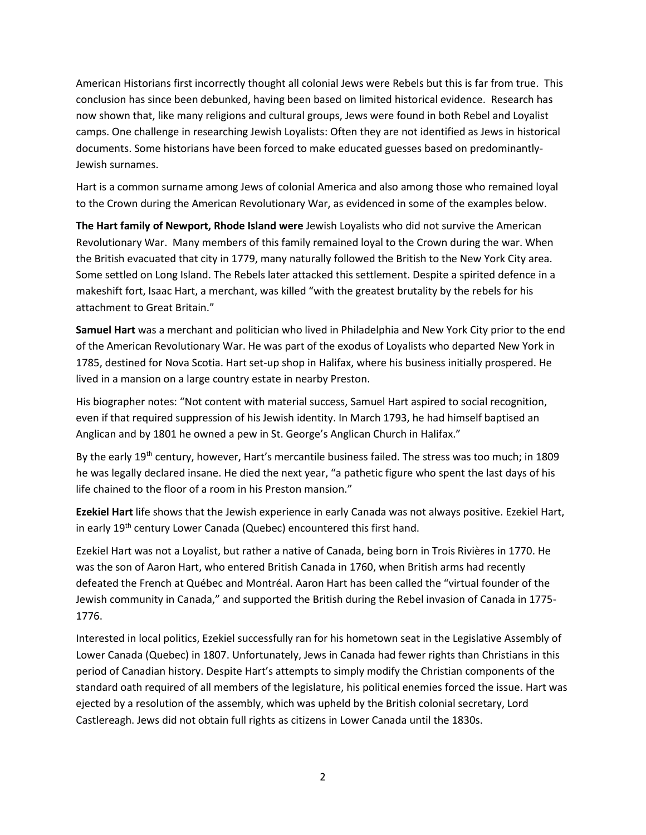American Historians first incorrectly thought all colonial Jews were Rebels but this is far from true. This conclusion has since been debunked, having been based on limited historical evidence. Research has now shown that, like many religions and cultural groups, Jews were found in both Rebel and Loyalist camps. One challenge in researching Jewish Loyalists: Often they are not identified as Jews in historical documents. Some historians have been forced to make educated guesses based on predominantly-Jewish surnames.

Hart is a common surname among Jews of colonial America and also among those who remained loyal to the Crown during the American Revolutionary War, as evidenced in some of the examples below.

**The Hart family of Newport, Rhode Island were** Jewish Loyalists who did not survive the American Revolutionary War. Many members of this family remained loyal to the Crown during the war. When the British evacuated that city in 1779, many naturally followed the British to the New York City area. Some settled on Long Island. The Rebels later attacked this settlement. Despite a spirited defence in a makeshift fort, Isaac Hart, a merchant, was killed "with the greatest brutality by the rebels for his attachment to Great Britain."

**Samuel Hart** was a merchant and politician who lived in Philadelphia and New York City prior to the end of the American Revolutionary War. He was part of the exodus of Loyalists who departed New York in 1785, destined for Nova Scotia. Hart set-up shop in Halifax, where his business initially prospered. He lived in a mansion on a large country estate in nearby Preston.

His biographer notes: "Not content with material success, Samuel Hart aspired to social recognition, even if that required suppression of his Jewish identity. In March 1793, he had himself baptised an Anglican and by 1801 he owned a pew in St. George's Anglican Church in Halifax."

By the early 19th century, however, Hart's mercantile business failed. The stress was too much; in 1809 he was legally declared insane. He died the next year, "a pathetic figure who spent the last days of his life chained to the floor of a room in his Preston mansion."

**Ezekiel Hart** life shows that the Jewish experience in early Canada was not always positive. Ezekiel Hart, in early 19<sup>th</sup> century Lower Canada (Quebec) encountered this first hand.

Ezekiel Hart was not a Loyalist, but rather a native of Canada, being born in Trois Rivières in 1770. He was the son of Aaron Hart, who entered British Canada in 1760, when British arms had recently defeated the French at Québec and Montréal. Aaron Hart has been called the "virtual founder of the Jewish community in Canada," and supported the British during the Rebel invasion of Canada in 1775- 1776.

Interested in local politics, Ezekiel successfully ran for his hometown seat in the Legislative Assembly of Lower Canada (Quebec) in 1807. Unfortunately, Jews in Canada had fewer rights than Christians in this period of Canadian history. Despite Hart's attempts to simply modify the Christian components of the standard oath required of all members of the legislature, his political enemies forced the issue. Hart was ejected by a resolution of the assembly, which was upheld by the British colonial secretary, Lord Castlereagh. Jews did not obtain full rights as citizens in Lower Canada until the 1830s.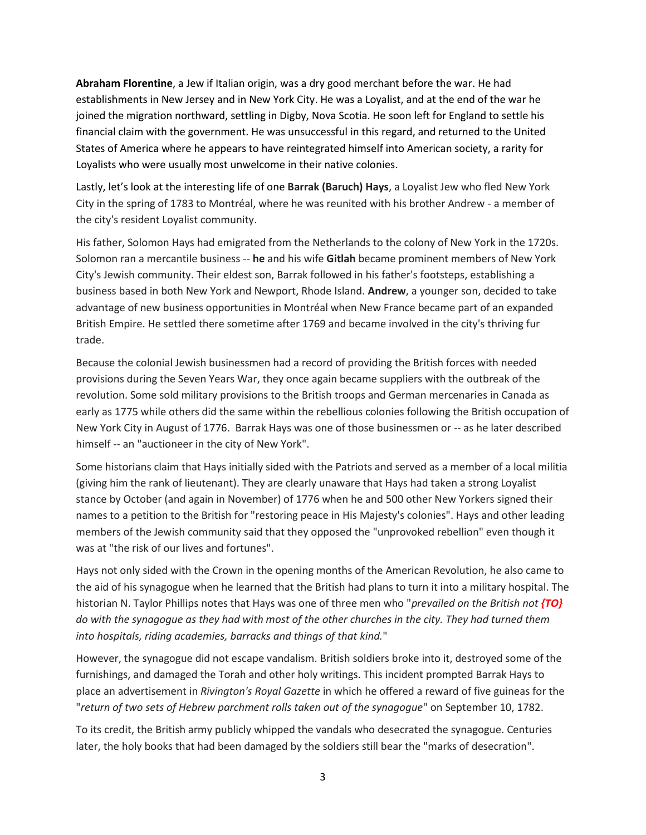**Abraham Florentine**, a Jew if Italian origin, was a dry good merchant before the war. He had establishments in New Jersey and in New York City. He was a Loyalist, and at the end of the war he joined the migration northward, settling in Digby, Nova Scotia. He soon left for England to settle his financial claim with the government. He was unsuccessful in this regard, and returned to the United States of America where he appears to have reintegrated himself into American society, a rarity for Loyalists who were usually most unwelcome in their native colonies.

Lastly, let's look at the interesting life of one **Barrak (Baruch) Hays**, a Loyalist Jew who fled New York City in the spring of 1783 to Montréal, where he was reunited with his brother Andrew - a member of the city's resident Loyalist community.

His father, Solomon Hays had emigrated from the Netherlands to the colony of New York in the 1720s. Solomon ran a mercantile business -- **he** and his wife **Gitlah** became prominent members of New York City's Jewish community. Their eldest son, Barrak followed in his father's footsteps, establishing a business based in both New York and Newport, Rhode Island. **Andrew**, a younger son, decided to take advantage of new business opportunities in Montréal when New France became part of an expanded British Empire. He settled there sometime after 1769 and became involved in the city's thriving fur trade.

Because the colonial Jewish businessmen had a record of providing the British forces with needed provisions during the Seven Years War, they once again became suppliers with the outbreak of the revolution. Some sold military provisions to the British troops and German mercenaries in Canada as early as 1775 while others did the same within the rebellious colonies following the British occupation of New York City in August of 1776. Barrak Hays was one of those businessmen or -- as he later described himself -- an "auctioneer in the city of New York".

Some historians claim that Hays initially sided with the Patriots and served as a member of a local militia (giving him the rank of lieutenant). They are clearly unaware that Hays had taken a strong Loyalist stance by October (and again in November) of 1776 when he and 500 other New Yorkers signed their names to a petition to the British for "restoring peace in His Majesty's colonies". Hays and other leading members of the Jewish community said that they opposed the "unprovoked rebellion" even though it was at "the risk of our lives and fortunes".

Hays not only sided with the Crown in the opening months of the American Revolution, he also came to the aid of his synagogue when he learned that the British had plans to turn it into a military hospital. The historian N. Taylor Phillips notes that Hays was one of three men who "*prevailed on the British not {TO} do with the synagogue as they had with most of the other churches in the city. They had turned them into hospitals, riding academies, barracks and things of that kind.*"

However, the synagogue did not escape vandalism. British soldiers broke into it, destroyed some of the furnishings, and damaged the Torah and other holy writings. This incident prompted Barrak Hays to place an advertisement in *Rivington's Royal Gazette* in which he offered a reward of five guineas for the "*return of two sets of Hebrew parchment rolls taken out of the synagogue*" on September 10, 1782.

To its credit, the British army publicly whipped the vandals who desecrated the synagogue. Centuries later, the holy books that had been damaged by the soldiers still bear the "marks of desecration".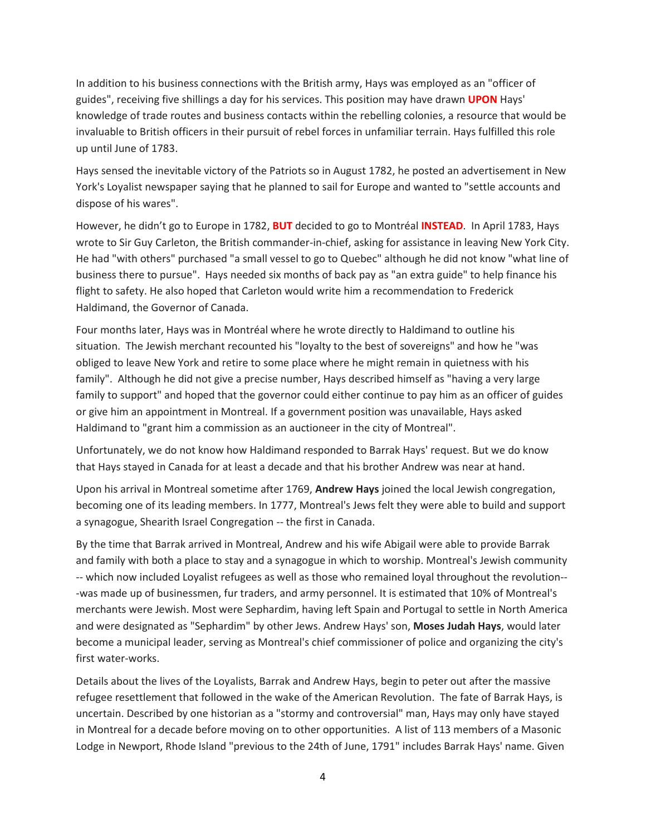In addition to his business connections with the British army, Hays was employed as an "officer of guides", receiving five shillings a day for his services. This position may have drawn **UPON** Hays' knowledge of trade routes and business contacts within the rebelling colonies, a resource that would be invaluable to British officers in their pursuit of rebel forces in unfamiliar terrain. Hays fulfilled this role up until June of 1783.

Hays sensed the inevitable victory of the Patriots so in August 1782, he posted an advertisement in New York's Loyalist newspaper saying that he planned to sail for Europe and wanted to "settle accounts and dispose of his wares".

However, he didn't go to Europe in 1782, **BUT** decided to go to Montréal **INSTEAD**. In April 1783, Hays wrote to Sir Guy Carleton, the British commander-in-chief, asking for assistance in leaving New York City. He had "with others" purchased "a small vessel to go to Quebec" although he did not know "what line of business there to pursue". Hays needed six months of back pay as "an extra guide" to help finance his flight to safety. He also hoped that Carleton would write him a recommendation to Frederick Haldimand, the Governor of Canada.

Four months later, Hays was in Montréal where he wrote directly to Haldimand to outline his situation. The Jewish merchant recounted his "loyalty to the best of sovereigns" and how he "was obliged to leave New York and retire to some place where he might remain in quietness with his family". Although he did not give a precise number, Hays described himself as "having a very large family to support" and hoped that the governor could either continue to pay him as an officer of guides or give him an appointment in Montreal. If a government position was unavailable, Hays asked Haldimand to "grant him a commission as an auctioneer in the city of Montreal".

Unfortunately, we do not know how Haldimand responded to Barrak Hays' request. But we do know that Hays stayed in Canada for at least a decade and that his brother Andrew was near at hand.

Upon his arrival in Montreal sometime after 1769, **Andrew Hays** joined the local Jewish congregation, becoming one of its leading members. In 1777, Montreal's Jews felt they were able to build and support a synagogue, Shearith Israel Congregation -- the first in Canada.

By the time that Barrak arrived in Montreal, Andrew and his wife Abigail were able to provide Barrak and family with both a place to stay and a synagogue in which to worship. Montreal's Jewish community -- which now included Loyalist refugees as well as those who remained loyal throughout the revolution-- -was made up of businessmen, fur traders, and army personnel. It is estimated that 10% of Montreal's merchants were Jewish. Most were Sephardim, having left Spain and Portugal to settle in North America and were designated as "Sephardim" by other Jews. Andrew Hays' son, **Moses Judah Hays**, would later become a municipal leader, serving as Montreal's chief commissioner of police and organizing the city's first water-works.

Details about the lives of the Loyalists, Barrak and Andrew Hays, begin to peter out after the massive refugee resettlement that followed in the wake of the American Revolution. The fate of Barrak Hays, is uncertain. Described by one historian as a "stormy and controversial" man, Hays may only have stayed in Montreal for a decade before moving on to other opportunities. A list of 113 members of a Masonic Lodge in Newport, Rhode Island "previous to the 24th of June, 1791" includes Barrak Hays' name. Given